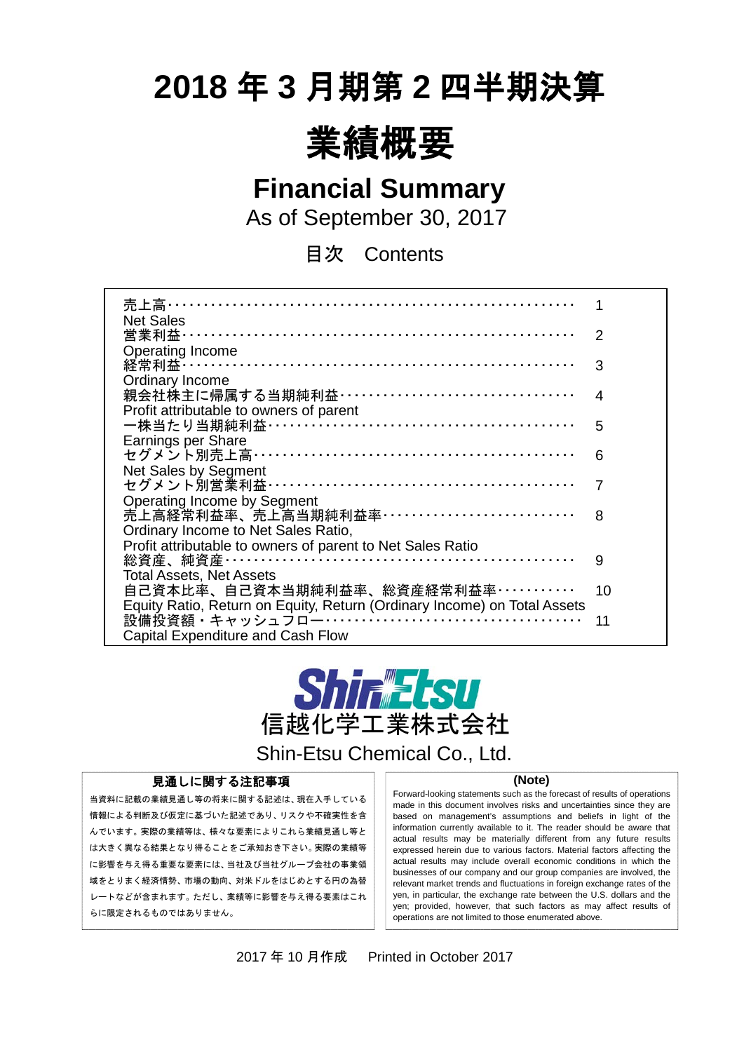# **2018** 年 **3** 月期第 **2** 四半期決算



**Financial Summary**

As of September 30, 2017

目次 Contents

| 売上高…………………………………………………………                                                |    |
|--------------------------------------------------------------------------|----|
| <b>Net Sales</b>                                                         |    |
| 営業利益…………………………………………………………                                               | 2  |
| Operating Income                                                         |    |
| 経常利益 ……………………………………………………………                                             | 3  |
| Ordinary Income                                                          |    |
| 親会社株主に帰属する当期純利益 ··································                       | 4  |
| Profit attributable to owners of parent                                  |    |
| 一株当たり当期純利益 ……………………………………………                                             | 5  |
| Earnings per Share                                                       |    |
| セグメント別売上高 ………………………………………………                                             | 6  |
| Net Sales by Segment                                                     |    |
| セグメント別営業利益 ……………………………………………                                             | 7  |
| <b>Operating Income by Segment</b>                                       |    |
| 売上高経常利益率、売上高当期純利益率……………………………                                            | 8  |
| Ordinary Income to Net Sales Ratio,                                      |    |
| Profit attributable to owners of parent to Net Sales Ratio               |    |
|                                                                          | 9  |
| <b>Total Assets, Net Assets</b>                                          |    |
| 自己資本比率、自己資本当期純利益率、総資産経常利益率…………                                           | 10 |
| Equity Ratio, Return on Equity, Return (Ordinary Income) on Total Assets |    |
|                                                                          | 11 |
| <b>Capital Expenditure and Cash Flow</b>                                 |    |



Shin-Etsu Chemical Co., Ltd.

#### 見通しに関する注記事項

当資料に記載の業績見通し等の将来に関する記述は、現在入手している 情報による判断及び仮定に基づいた記述であり、リスクや不確実性を含 んでいます。実際の業績等は、様々な要素によりこれら業績見通し等と は大きく異なる結果となり得ることをご承知おき下さい。実際の業績等 に影響を与え得る重要な要素には、当社及び当社グループ会社の事業領 域をとりまく経済情勢、市場の動向、対米ドルをはじめとする円の為替 レートなどが含まれます。ただし、業績等に影響を与え得る要素はこれ らに限定されるものではありません。

#### **(Note)**

Forward-looking statements such as the forecast of results of operations made in this document involves risks and uncertainties since they are based on management's assumptions and beliefs in light of the information currently available to it. The reader should be aware that actual results may be materially different from any future results expressed herein due to various factors. Material factors affecting the actual results may include overall economic conditions in which the businesses of our company and our group companies are involved, the relevant market trends and fluctuations in foreign exchange rates of the yen, in particular, the exchange rate between the U.S. dollars and the yen; provided, however, that such factors as may affect results of operations are not limited to those enumerated above.

2017 年 10 月作成 Printed in October 2017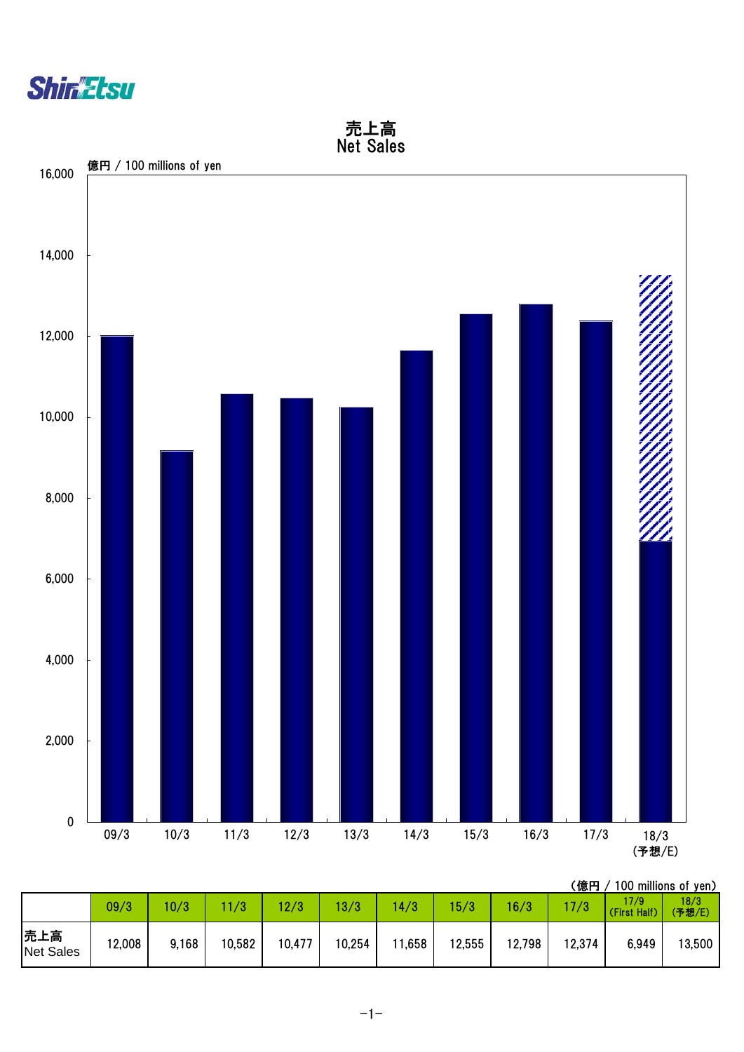



|                         | 09/3   | 10/3  | 11/3   | 12/3   | 13/3   | 14/3   | 5/3    | 16/3   | 17/3   | 17/9<br>(First Half) | 18/3<br>(予想/E) |
|-------------------------|--------|-------|--------|--------|--------|--------|--------|--------|--------|----------------------|----------------|
| 売上高<br><b>Net Sales</b> | 12,008 | 9,168 | 10,582 | 10,477 | 10,254 | 11,658 | 12,555 | 12,798 | 12,374 | 6,949                | 13,500         |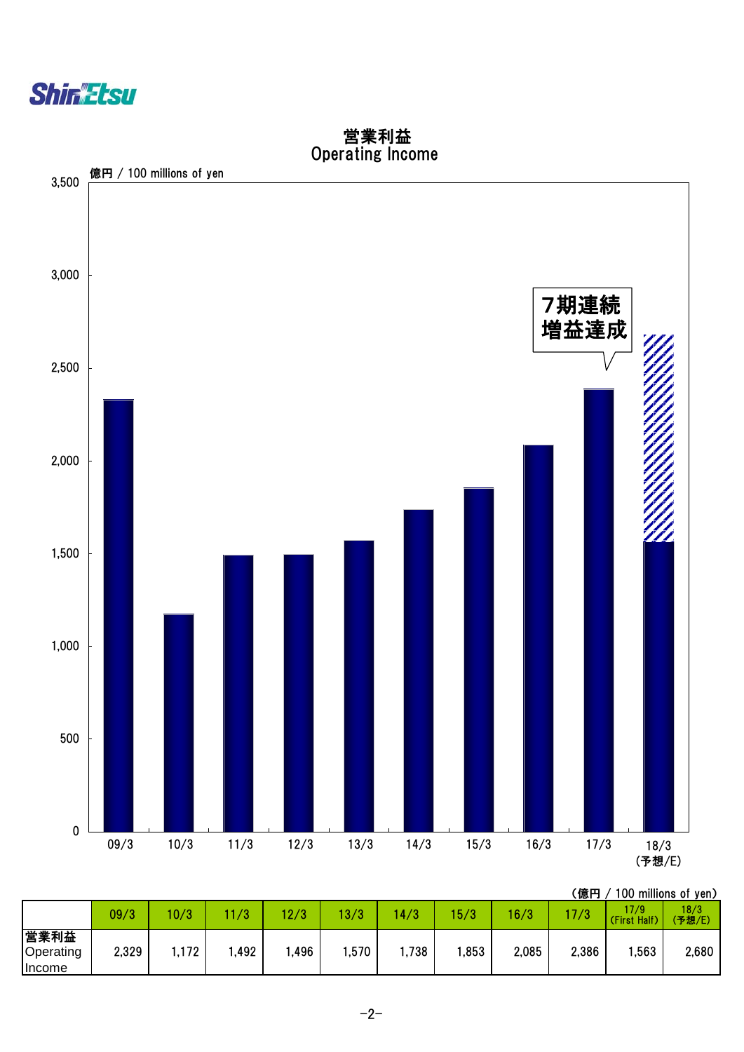



 営業利益 Operating Income

|                             | 09/3  | 10/3  | 70   | 10/2<br>ు | 3/3   | 4/3  | 5/3  | 16/3  | 7/3   | 17/9<br>(First Half) | 18/3<br>(予想/E) |
|-----------------------------|-------|-------|------|-----------|-------|------|------|-------|-------|----------------------|----------------|
| 営業利益<br>Operating<br>Income | 2,329 | 1,172 | ,492 | ,496      | .570، | ,738 | ,853 | 2,085 | 2,386 | ,563                 | 2,680          |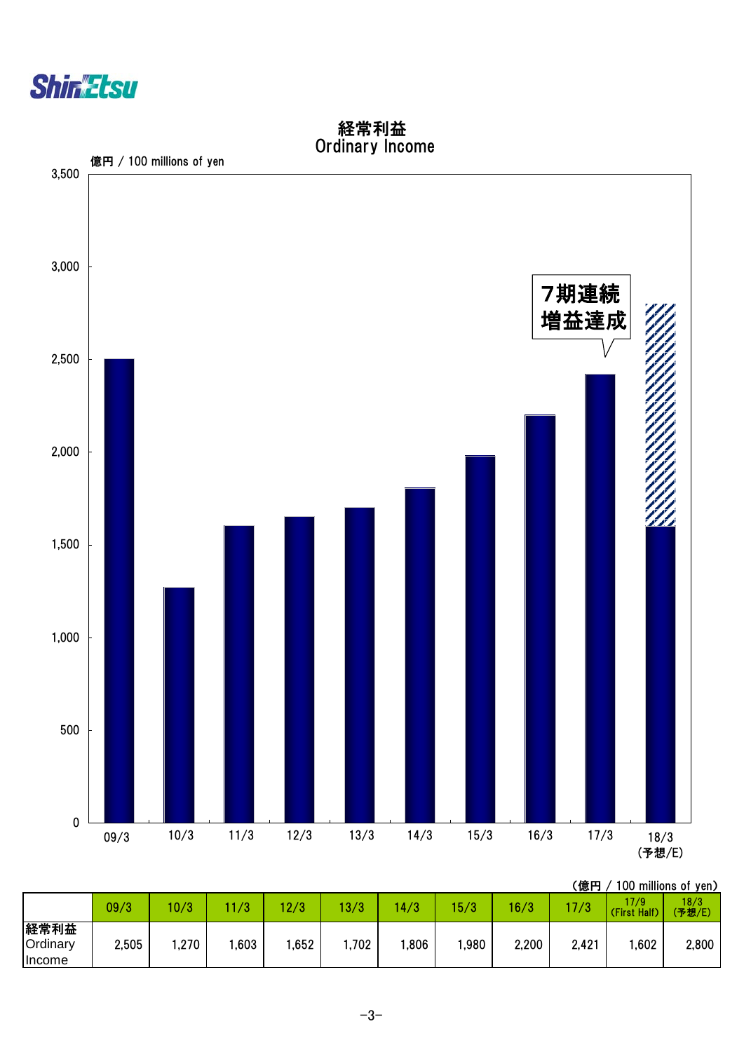



経常利益

|                            | 09/3  | 10/3 | /3   | 2/3  | 3/3   | 70<br>$\overline{4}$ | 5/3  | 16/3  | 7/3   | 17/9<br>(First Half) | 18/3<br>(予想/E) |
|----------------------------|-------|------|------|------|-------|----------------------|------|-------|-------|----------------------|----------------|
| 経常利益<br>Ordinary<br>Income | 2,505 | ,270 | ,603 | ,652 | 1,702 | ,806                 | ,980 | 2,200 | 2,421 | ,602                 | 2,800          |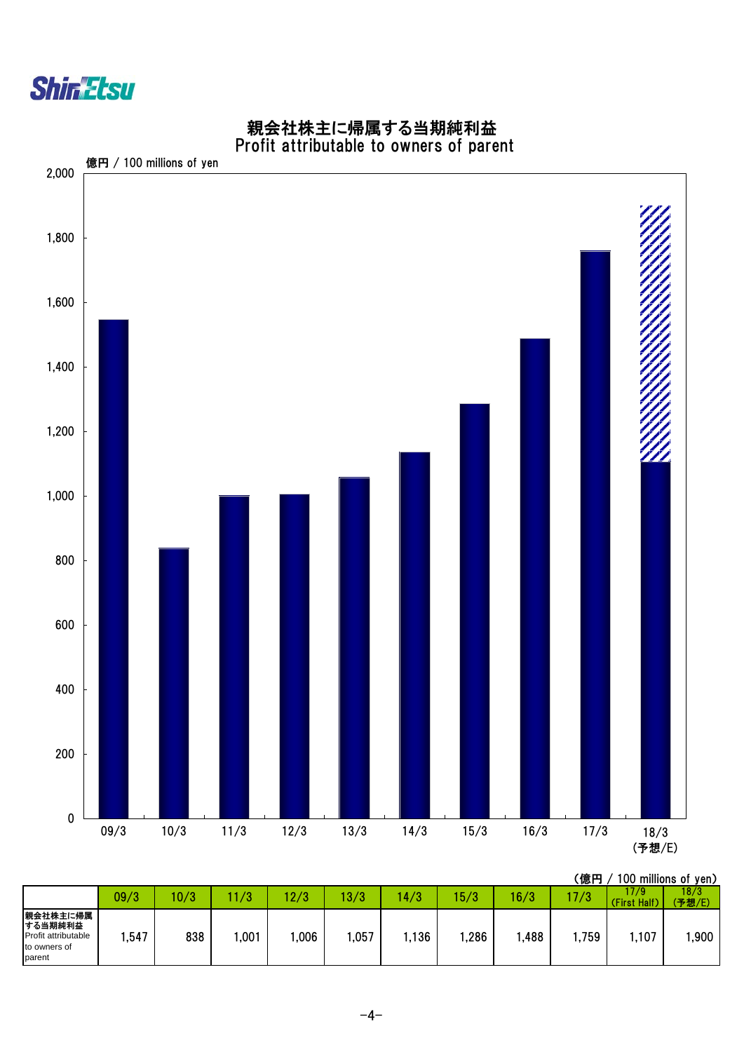



#### 親会社株主に帰属する当期純利益 Profit attributable to owners of parent

|                                                                      | 09/3 | 10/3 | $\sqrt{2}$<br>70 | 12/3 | 13/3 | 4/3   | 15/3 | 16/3 | 17/3 | 17/9<br>(First Half) | 18/3<br>(予想/E) |
|----------------------------------------------------------------------|------|------|------------------|------|------|-------|------|------|------|----------------------|----------------|
| 親会社株主に帰属<br>する当期純利益<br>Profit attributable<br>to owners of<br>parent | ,547 | 838  | ,001             | ,006 | ,057 | 1,136 | ,286 | ,488 | 759ء | ,107                 | ,900           |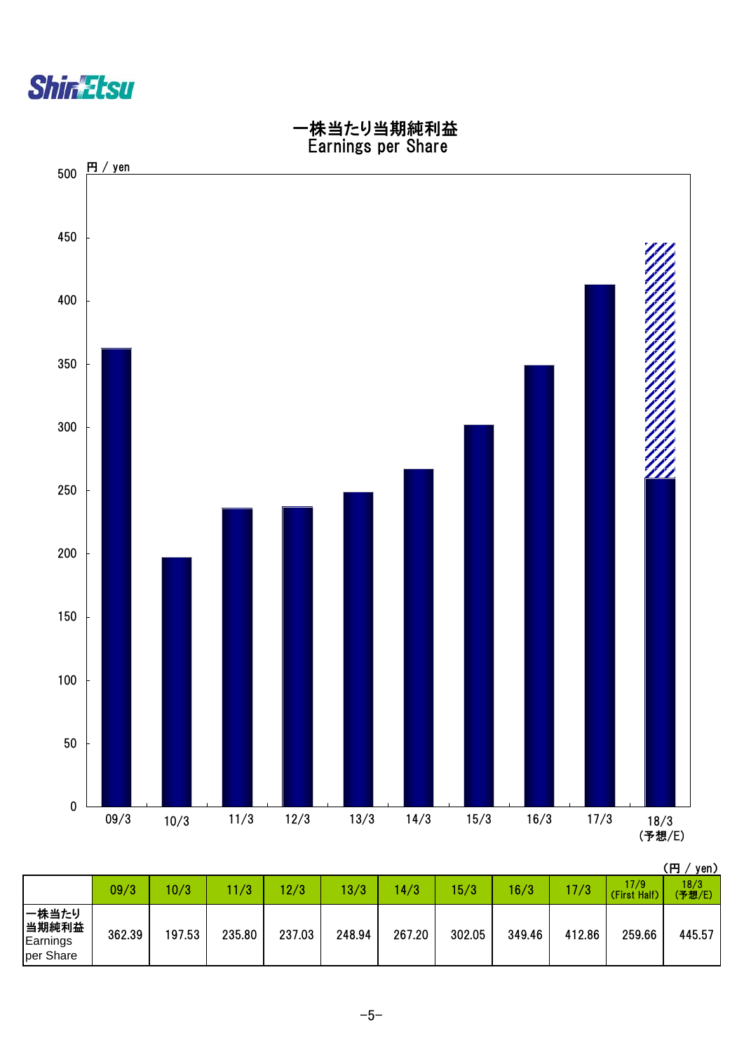



|                                         | 09/3   | 10/3   | 1/3    | 12/3   | 13/3   | 4/3    | 15/3   | 16/3   | 17/3   | 17/9<br>(First Half) | 18/3<br>'予想/E) |
|-----------------------------------------|--------|--------|--------|--------|--------|--------|--------|--------|--------|----------------------|----------------|
| 一株当たり<br>当期純利益<br>Earnings<br>per Share | 362.39 | 197.53 | 235.80 | 237.03 | 248.94 | 267.20 | 302.05 | 349.46 | 412.86 | 259.66               | 445.57         |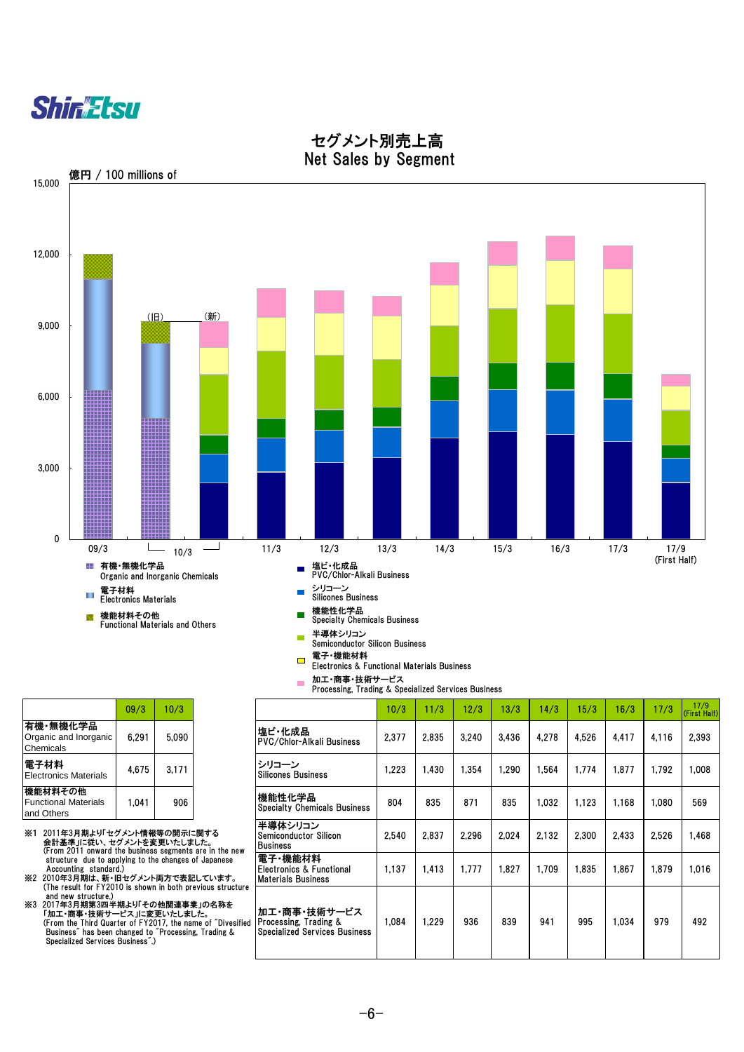



#### セグメント別売上高 Net Sales by Segment

|                                                      | 09/3  | 10/3  |
|------------------------------------------------------|-------|-------|
| 有機・無機化学品<br>Organic and Inorganic<br>Chemicals       | 6,291 | 5,090 |
| 電子材料<br><b>Electronics Materials</b>                 | 4,675 | 3,171 |
| 機能材料その他<br><b>Functional Materials</b><br>and Others | 1.041 | 906   |

※1 2011年3月期より「セグメント情報等の開示に関する<br>会計基準」に従い、セグメントを変更いたしました。<br>(From 2011 onward the business segments are in the new<br>(From 2011 onward the business segments are in the new<br>structure due to applying to the changes of Japanese Accounting standard.)

※2 2010年3月期は、新・旧セグメント両方で表記しています。 (The result for FY2010 is shown in both previous structure

 and new structure.) ※3 2017年3月期第3四半期より「その他関連事業」の名称を 「加工・商事・技術サービス」に変更いたしました。 (From the Third Quarter of FY2017, the name of "Divesified Business" has been changed to "Processing, Trading & Specialized Services Business".)

|                                                | 09/3  | 10/3  |                                            | 10/3  | 11/3  | 12/3  | 13/3  | 14/3  | 5/3   | 16/3  | 17/3  | 17/9<br>(First Ha |
|------------------------------------------------|-------|-------|--------------------------------------------|-------|-------|-------|-------|-------|-------|-------|-------|-------------------|
| 有機・無機化学品<br>Organic and Inorganic<br>Chemicals | 6.291 | 5,090 | 塩ビ・化成品<br><b>PVC/Chlor-Alkali Business</b> | 2,377 | 2,835 | 3,240 | 3.436 | 4,278 | 4.526 | 4.417 | 4.116 | 2.393             |
| 電子材料<br><b>Electronics Materials</b>           | 4,675 | 3.171 | トシリコーン<br>Silicones Business               | .223  | .430  | ,354  | .290  | .564  | .774، | .877  | .792  | 00٤.              |

| 1.041     | 906                           |                                                                                                                               | 機能性化学品<br><b>Specialty Chemicals Business</b>                                 | 804   | 835   | 871   | 835   | 1.032 | 1.123 | 1,168 | 080.  | 569   |
|-----------|-------------------------------|-------------------------------------------------------------------------------------------------------------------------------|-------------------------------------------------------------------------------|-------|-------|-------|-------|-------|-------|-------|-------|-------|
|           | ント情報等の開示に関する<br>くントを変更いたしました。 | business segments are in the new                                                                                              | 半導体シリコン<br><b>Semiconductor Silicon</b><br><b>Business</b>                    | 2,540 | 2,837 | 2.296 | 2.024 | 2.132 | 2.300 | 2,433 | 2,526 | 1,468 |
|           |                               | ng to the changes of Japanese<br>!グメント両方で表記しています。                                                                             | 電子·機能材料<br>Electronics & Functional<br><b>Materials Business</b>              | 1,137 | 1.413 | 1,777 | 1.827 | 1,709 | 1,835 | 1.867 | 1,879 | 1,016 |
| siness".) | ス」に変更いたしました。                  | s shown in both previous structure<br>⊧り「その他関連事業」の名称を<br>of FY2017, the name of "Divesified<br>nged to "Processing. Trading & | 加工・商事・技術サービス<br>Processing, Trading &<br><b>Specialized Services Business</b> | 1.084 | .229  | 936   | 839   | 941   | 995   | 1.034 | 979   | 492   |

17/9<br>(First Half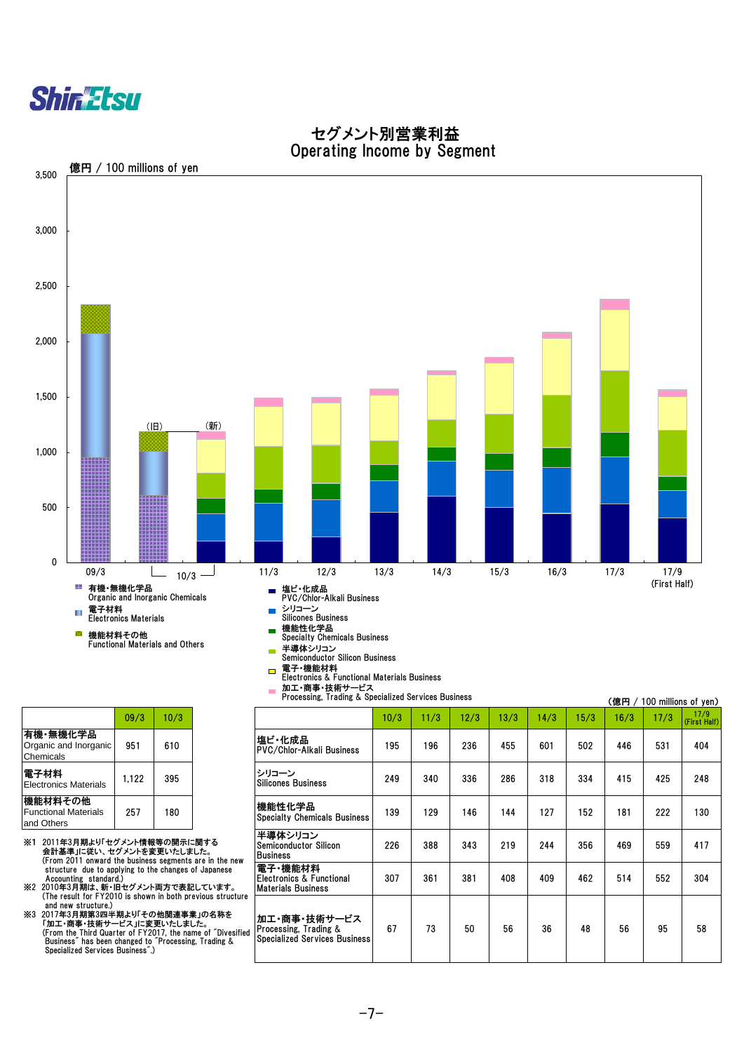



加工・商事・技術サービス

 $\overline{\phantom{a}}$ 

#### セグメント別営業利益 Operating Income by Segment

有機・無機化学品 Organic and Inorganic Chemicals 電子材料<br>Electronics Materials 機能材料その他 Functional Materials

- and Others
- ※1 2011年3月期より「セグメント情報等の開示に関する 会計基準」に従い、セグメントを変更いたしました。 (From 2011 onward the business segments are in the new structure due to applying to the changes of Japanese<br>Accounting standard.)<br>※2 2010年3月期は、新・旧セグメント両方で表記しています。<br>(The result for FY2010 is shown in both previous structure
- 

and new structure.)<br>※3 2017年3月期第3四半期より「その他関連事業」の名称を<br>「加工・商事・技術サービス」に変更いたしました。<br>(From the Third Quarter of FY2017, the name of "Divesified")<br>Business" has been changed to "Processing, Trading & Specialized Services Business".)

(億円 / 100 millions of yen) 09/3 10/3 10/3 11/3 12/3 13/3 14/3 15/3 16/3 17/3 17/9 (First Half) 951 610 195 196 236 455 601 502 446 531 404 PVC/Chlor-Alkali Business Electronics Materials 1,122 <sup>395</sup> <sup>249</sup> <sup>340</sup> <sup>336</sup> <sup>286</sup> <sup>318</sup> <sup>334</sup> <sup>415</sup> <sup>425</sup> <sup>248</sup> 257 | 180 | | | Specialty Chemicals Business | 139 | 129 | 146 | 144 | 127 | 152 | 131 | 222 | 130 226 388 343 219 244 356 469 559 417 307 361 381 408 409 462 514 552 304 67 | 73 | 50 | 56 | 36 | 48 | 56 | 95 | 58 機能性化学品 半導体シリコン Semiconductor Silicon Business 電子・機能材料 Electronics & Functional Materials Business 加工・商事・技術サービス Processing, Trading & Specialized Services Business 塩ビ・化成品 シリコーン Silicones Business Processing, Trading & Specialized Services Business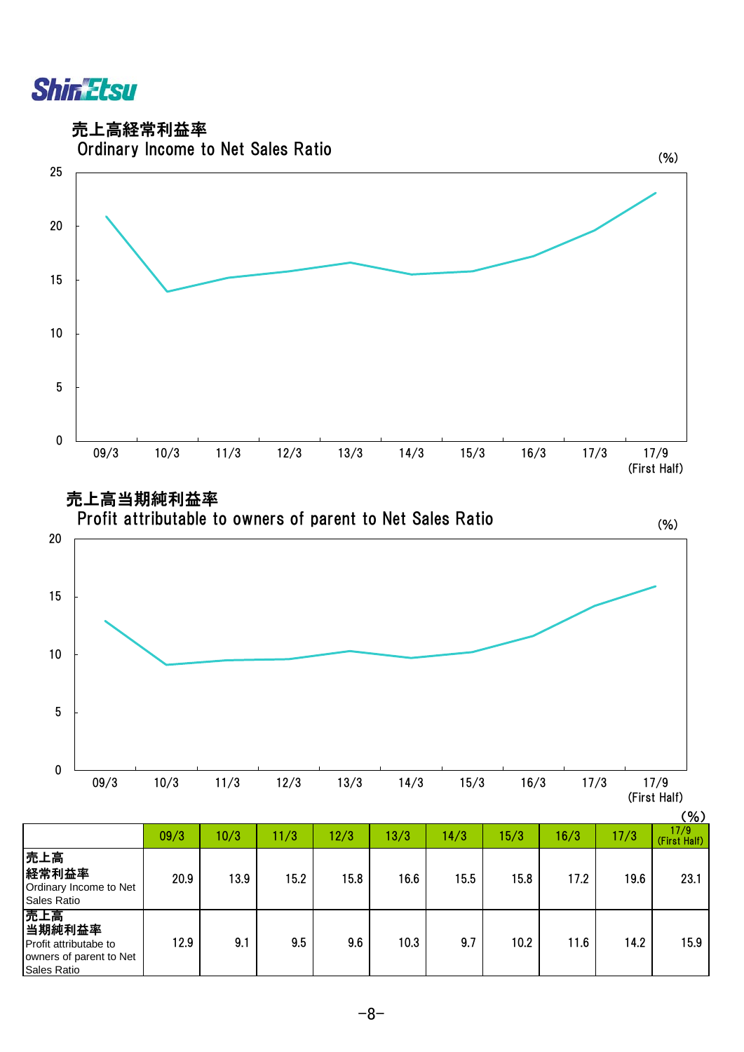**Shin Etsu** 

売上高経常利益率



|                                                                                  |      |      |      |      |      |      |      |      |      | $(\% )$              |
|----------------------------------------------------------------------------------|------|------|------|------|------|------|------|------|------|----------------------|
|                                                                                  | 09/3 | 10/3 | 11/3 | 12/3 | 13/3 | 14/3 | 15/3 | 16/3 | 17/3 | 17/9<br>(First Half) |
| 売上高<br>経常利益率<br>Ordinary Income to Net<br>Sales Ratio                            | 20.9 | 13.9 | 15.2 | 15.8 | 16.6 | 15.5 | 15.8 | 17.2 | 19.6 | 23.1                 |
| 売上高<br>当期純利益率<br>Profit attributabe to<br>owners of parent to Net<br>Sales Ratio | 12.9 | 9.1  | 9.5  | 9.6  | 10.3 | 9.7  | 10.2 | 11.6 | 14.2 | 15.9                 |

09/3 10/3 11/3 12/3 13/3 14/3 15/3 16/3 17/3 17/9

(First Half)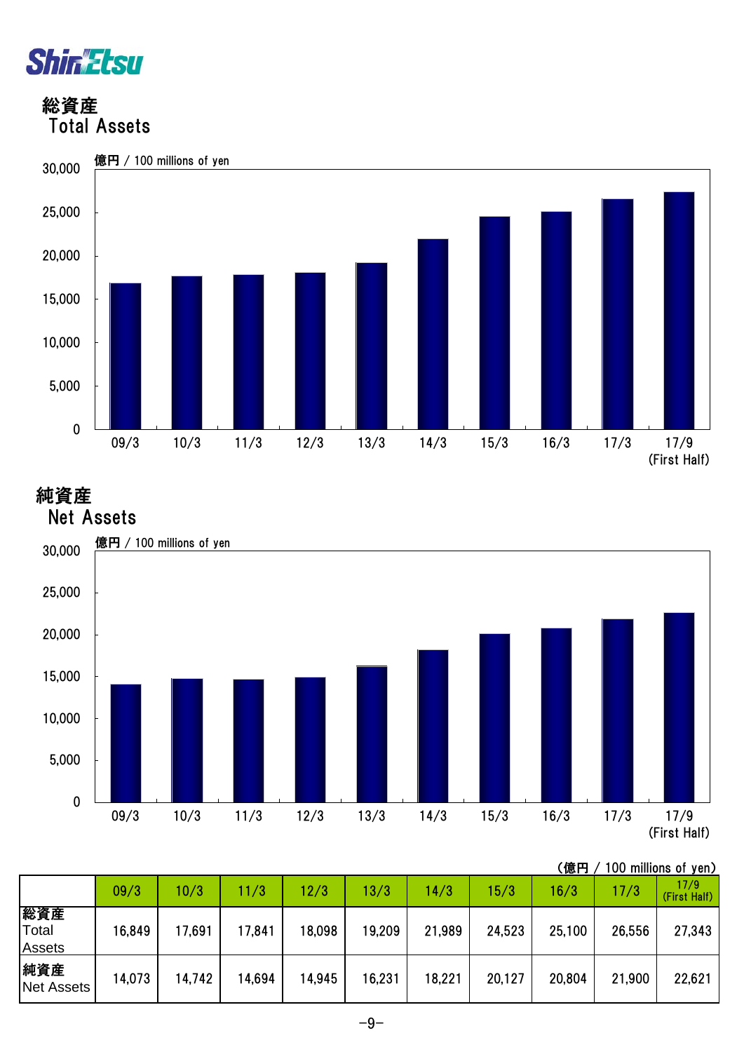

 総資産 Total Assets



## 純資産



|                               |        |        |        |        |        |        |        | (億円    |        | 100 millions of yen) |
|-------------------------------|--------|--------|--------|--------|--------|--------|--------|--------|--------|----------------------|
|                               | 09/3   | 10/3   | 11/3   | 12/3   | 13/3   | 14/3   | 15/3   | 16/3   | 17/3   | 17/9<br>(First Half) |
| 総資産<br>Total<br><b>Assets</b> | 16,849 | 17,691 | 17,841 | 18,098 | 19,209 | 21,989 | 24,523 | 25,100 | 26,556 | 27,343               |
| 純資産<br><b>Net Assets</b>      | 14,073 | 14,742 | 14,694 | 14,945 | 16,231 | 18,221 | 20,127 | 20,804 | 21,900 | 22,621               |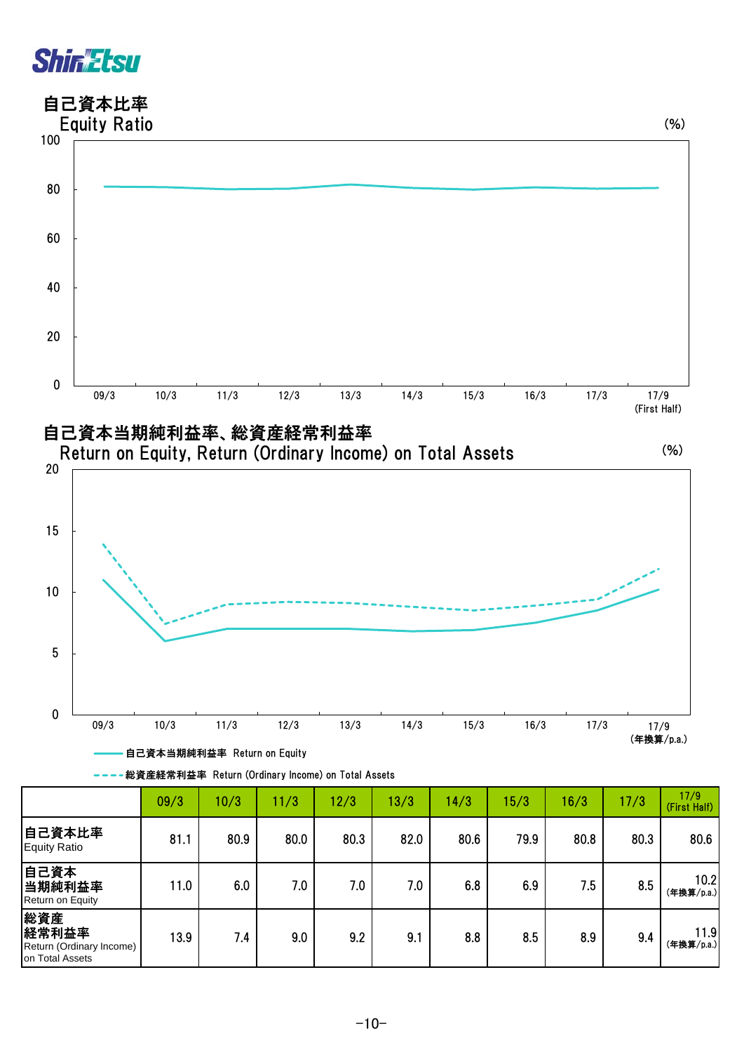## **Shin Etsu**

### 自己資本比率



| ---総資産経常利益率 Return (Ordinary Income) on Total Assets |  |  |  |
|------------------------------------------------------|--|--|--|
|------------------------------------------------------|--|--|--|

|                                                             | 09/3 | 10/3 | 11/3 | 12/3 | 13/3 | 14/3 | 15/3 | 16/3 | 17/3 | 17/9<br>(First Half) |
|-------------------------------------------------------------|------|------|------|------|------|------|------|------|------|----------------------|
| 自己資本比率<br><b>Equity Ratio</b>                               | 81.1 | 80.9 | 80.0 | 80.3 | 82.0 | 80.6 | 79.9 | 80.8 | 80.3 | 80.6                 |
| 自己資本<br>当期純利益率<br>Return on Equity                          | 11.0 | 6.0  | 7.0  | 7.0  | 7.0  | 6.8  | 6.9  | 7.5  | 8.5  | 10.2<br>(年換算/p.a.)   |
| 総資産<br>経常利益率<br>Return (Ordinary Income)<br>on Total Assets | 13.9 | 7.4  | 9.0  | 9.2  | 9.1  | 8.8  | 8.5  | 8.9  | 9.4  | 11.9<br>(年換算/p.a.)   |